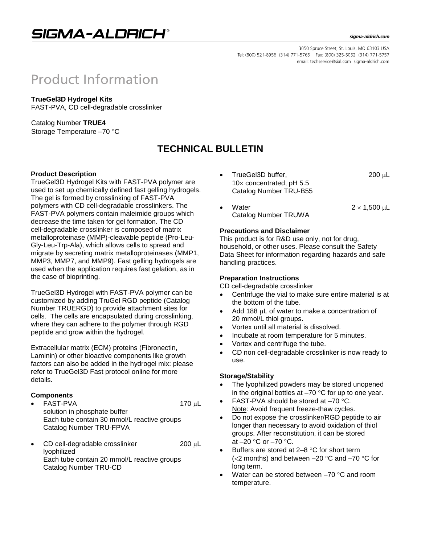

#### sigma-aldrich.com

3050 Spruce Street, St. Louis, MO 63103 USA Tel: (800) 521-8956 (314) 771-5765 Fax: (800) 325-5052 (314) 771-5757 email: techservice@sial.com sigma-aldrich.com

# **Product Information**

**TrueGel3D Hydrogel Kits** FAST-PVA, CD cell-degradable crosslinker

Catalog Number **TRUE4** Storage Temperature -70 °C

# **TECHNICAL BULLETIN**

# **Product Description**

TrueGel3D Hydrogel Kits with FAST-PVA polymer are used to set up chemically defined fast gelling hydrogels. The gel is formed by crosslinking of FAST-PVA polymers with CD cell-degradable crosslinkers. The FAST-PVA polymers contain maleimide groups which decrease the time taken for gel formation. The CD cell-degradable crosslinker is composed of matrix metalloproteinase (MMP)-cleavable peptide (Pro-Leu-Gly-Leu-Trp-Ala), which allows cells to spread and migrate by secreting matrix metalloproteinases (MMP1, MMP3, MMP7, and MMP9). Fast gelling hydrogels are used when the application requires fast gelation, as in the case of bioprinting.

TrueGel3D Hydrogel with FAST-PVA polymer can be customized by adding TruGel RGD peptide (Catalog Number TRUERGD) to provide attachment sites for cells. The cells are encapsulated during crosslinking, where they can adhere to the polymer through RGD peptide and grow within the hydrogel.

Extracellular matrix (ECM) proteins (Fibronectin, Laminin) or other bioactive components like growth factors can also be added in the hydrogel mix: please refer to TrueGel3D Fast protocol online for more details.

# **Components**

- FAST-PVA 170 µL solution in phosphate buffer Each tube contain 30 mmol/L reactive groups Catalog Number TRU-FPVA
- $\bullet$  CD cell-degradable crosslinker 200  $\mu$ L lyophilized Each tube contain 20 mmol/L reactive groups Catalog Number TRU-CD
- TrueGel3D buffer, 200 μL  $10\times$  concentrated, pH 5.5 Catalog Number TRU-B55
- Water  $2 \times 1,500 \text{ }\mu\text{L}$ Catalog Number TRUWA

# **Precautions and Disclaimer**

This product is for R&D use only, not for drug, household, or other uses. Please consult the Safety Data Sheet for information regarding hazards and safe handling practices.

# **Preparation Instructions**

CD cell-degradable crosslinker

- Centrifuge the vial to make sure entire material is at the bottom of the tube.
- Add 188 LL of water to make a concentration of 20 mmol/L thiol groups.
- Vortex until all material is dissolved.
- Incubate at room temperature for 5 minutes.
- Vortex and centrifuge the tube.
- CD non cell-degradable crosslinker is now ready to use.

# **Storage/Stability**

- The lyophilized powders may be stored unopened in the original bottles at  $-70$  °C for up to one year.
- FAST-PVA should be stored at -70 °C. Note: Avoid frequent freeze-thaw cycles.
- Do not expose the crosslinker/RGD peptide to air longer than necessary to avoid oxidation of thiol groups. After reconstitution, it can be stored at  $-20$  °C or  $-70$  °C.
- Buffers are stored at  $2-8$  °C for short term ( $<$ 2 months) and between  $-20$  °C and  $-70$  °C for long term.
- Water can be stored between  $-70$  °C and room temperature.